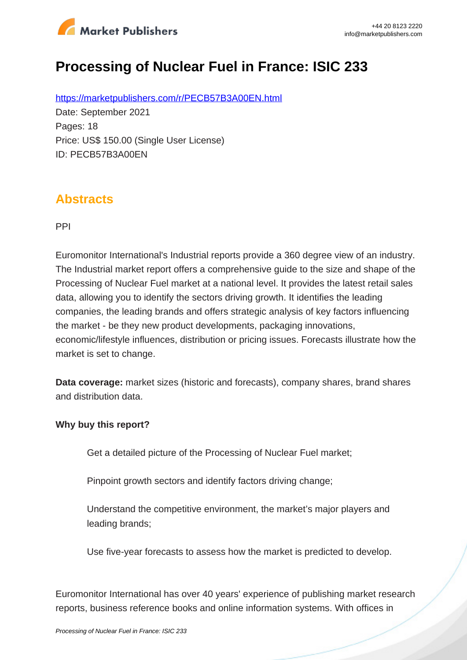

# **Processing of Nuclear Fuel in France: ISIC 233**

https://marketpublishers.com/r/PECB57B3A00EN.html Date: September 2021 Pages: 18 Price: US\$ 150.00 (Single User License) ID: PECB57B3A00EN

### **Abstracts**

PPI

Euromonitor International's Industrial reports provide a 360 degree view of an industry. The Industrial market report offers a comprehensive guide to the size and shape of the Processing of Nuclear Fuel market at a national level. It provides the latest retail sales data, allowing you to identify the sectors driving growth. It identifies the leading companies, the leading brands and offers strategic analysis of key factors influencing the market - be they new product developments, packaging innovations, economic/lifestyle influences, distribution or pricing issues. Forecasts illustrate how the market is set to change.

**Data coverage:** market sizes (historic and forecasts), company shares, brand shares and distribution data.

#### **Why buy this report?**

Get a detailed picture of the Processing of Nuclear Fuel market;

Pinpoint growth sectors and identify factors driving change;

Understand the competitive environment, the market's major players and leading brands;

Use five-year forecasts to assess how the market is predicted to develop.

Euromonitor International has over 40 years' experience of publishing market research reports, business reference books and online information systems. With offices in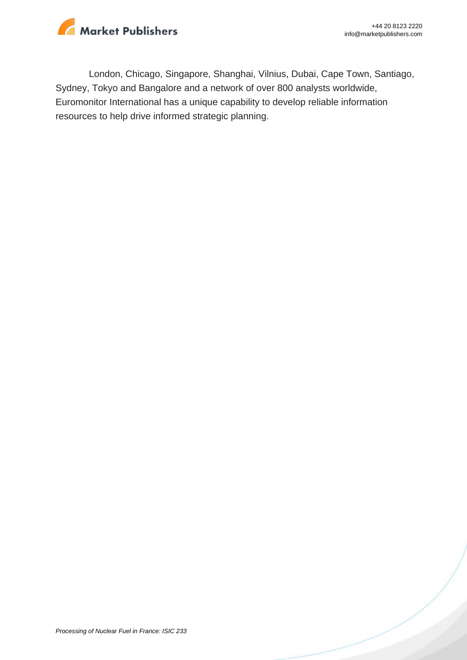

London, Chicago, Singapore, Shanghai, Vilnius, Dubai, Cape Town, Santiago, Sydney, Tokyo and Bangalore and a network of over 800 analysts worldwide, Euromonitor International has a unique capability to develop reliable information resources to help drive informed strategic planning.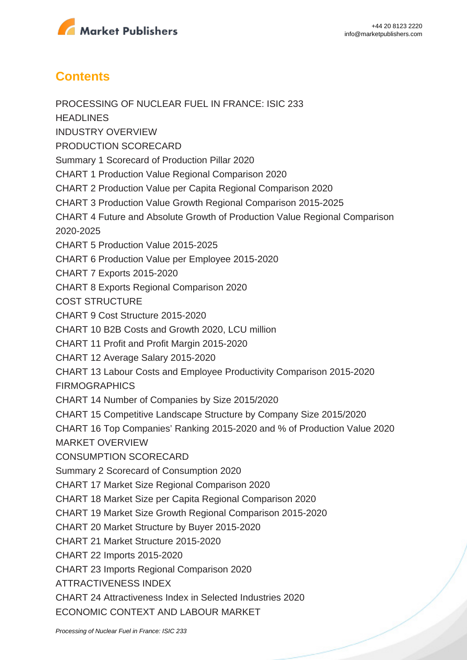

## **Contents**

PROCESSING OF NUCLEAR FUEL IN FRANCE: ISIC 233 **HEADLINES** INDUSTRY OVERVIEW PRODUCTION SCORECARD Summary 1 Scorecard of Production Pillar 2020 CHART 1 Production Value Regional Comparison 2020 CHART 2 Production Value per Capita Regional Comparison 2020 CHART 3 Production Value Growth Regional Comparison 2015-2025 CHART 4 Future and Absolute Growth of Production Value Regional Comparison 2020-2025 CHART 5 Production Value 2015-2025 CHART 6 Production Value per Employee 2015-2020 CHART 7 Exports 2015-2020 CHART 8 Exports Regional Comparison 2020 COST STRUCTURE CHART 9 Cost Structure 2015-2020 CHART 10 B2B Costs and Growth 2020, LCU million CHART 11 Profit and Profit Margin 2015-2020 CHART 12 Average Salary 2015-2020 CHART 13 Labour Costs and Employee Productivity Comparison 2015-2020 FIRMOGRAPHICS CHART 14 Number of Companies by Size 2015/2020 CHART 15 Competitive Landscape Structure by Company Size 2015/2020 CHART 16 Top Companies' Ranking 2015-2020 and % of Production Value 2020 MARKET OVERVIEW CONSUMPTION SCORECARD Summary 2 Scorecard of Consumption 2020 CHART 17 Market Size Regional Comparison 2020 CHART 18 Market Size per Capita Regional Comparison 2020 CHART 19 Market Size Growth Regional Comparison 2015-2020 CHART 20 Market Structure by Buyer 2015-2020 CHART 21 Market Structure 2015-2020 CHART 22 Imports 2015-2020 CHART 23 Imports Regional Comparison 2020 ATTRACTIVENESS INDEX CHART 24 Attractiveness Index in Selected Industries 2020 ECONOMIC CONTEXT AND LABOUR MARKET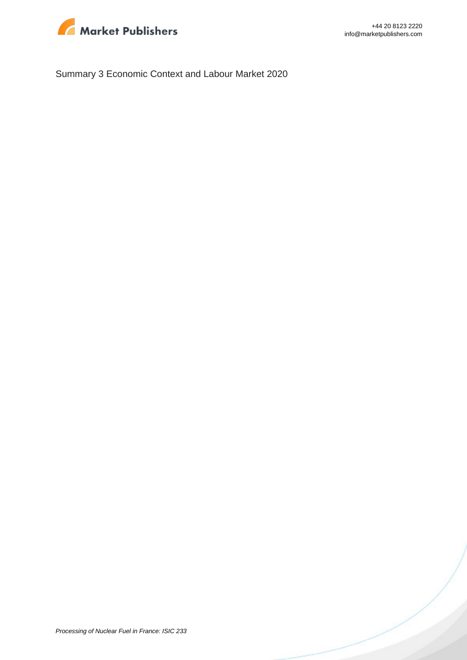

Summary 3 Economic Context and Labour Market 2020